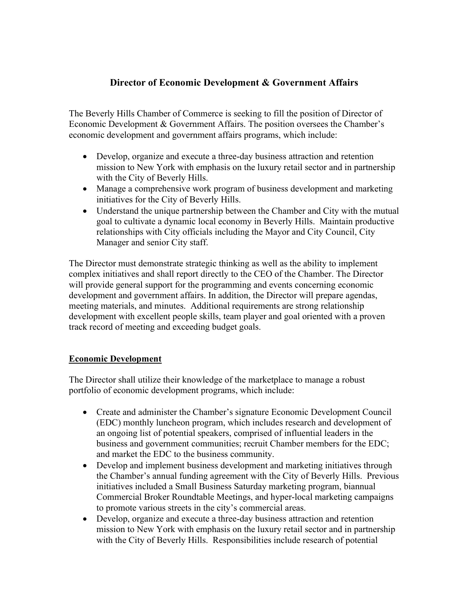## Director of Economic Development & Government Affairs

The Beverly Hills Chamber of Commerce is seeking to fill the position of Director of Economic Development & Government Affairs. The position oversees the Chamber's economic development and government affairs programs, which include:

- Develop, organize and execute a three-day business attraction and retention mission to New York with emphasis on the luxury retail sector and in partnership with the City of Beverly Hills.
- Manage a comprehensive work program of business development and marketing initiatives for the City of Beverly Hills.
- Understand the unique partnership between the Chamber and City with the mutual goal to cultivate a dynamic local economy in Beverly Hills. Maintain productive relationships with City officials including the Mayor and City Council, City Manager and senior City staff.

The Director must demonstrate strategic thinking as well as the ability to implement complex initiatives and shall report directly to the CEO of the Chamber. The Director will provide general support for the programming and events concerning economic development and government affairs. In addition, the Director will prepare agendas, meeting materials, and minutes. Additional requirements are strong relationship development with excellent people skills, team player and goal oriented with a proven track record of meeting and exceeding budget goals.

## Economic Development

The Director shall utilize their knowledge of the marketplace to manage a robust portfolio of economic development programs, which include:

- Create and administer the Chamber's signature Economic Development Council (EDC) monthly luncheon program, which includes research and development of an ongoing list of potential speakers, comprised of influential leaders in the business and government communities; recruit Chamber members for the EDC; and market the EDC to the business community.
- Develop and implement business development and marketing initiatives through the Chamber's annual funding agreement with the City of Beverly Hills. Previous initiatives included a Small Business Saturday marketing program, biannual Commercial Broker Roundtable Meetings, and hyper-local marketing campaigns to promote various streets in the city's commercial areas.
- Develop, organize and execute a three-day business attraction and retention mission to New York with emphasis on the luxury retail sector and in partnership with the City of Beverly Hills. Responsibilities include research of potential